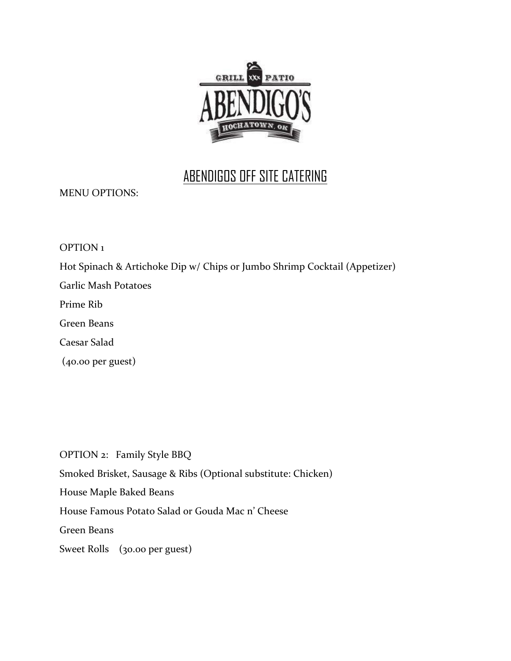

## ABENDIGOS OFF SITE CATERING

MENU OPTIONS:

OPTION 1

Hot Spinach & Artichoke Dip w/ Chips or Jumbo Shrimp Cocktail (Appetizer)

Garlic Mash Potatoes

Prime Rib

Green Beans

Caesar Salad

(40.00 per guest)

OPTION 2: Family Style BBQ Smoked Brisket, Sausage & Ribs (Optional substitute: Chicken) House Maple Baked Beans House Famous Potato Salad or Gouda Mac n' Cheese Green Beans Sweet Rolls (30.00 per guest)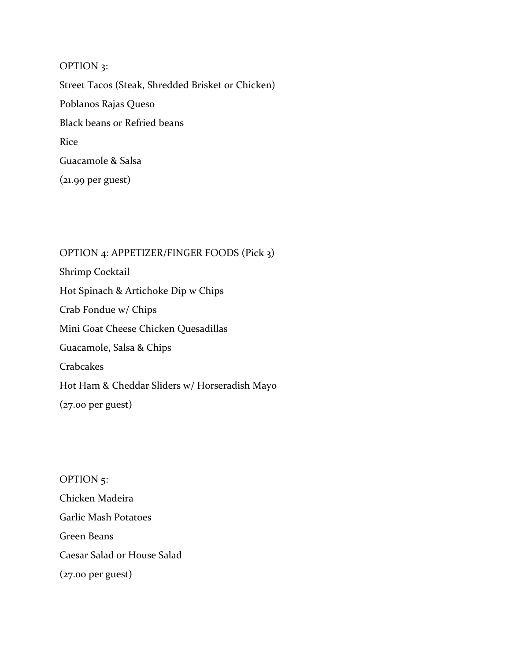OPTION 3: Street Tacos (Steak, Shredded Brisket or Chicken) Poblanos Rajas Queso Black beans or Refried beans Rice Guacamole & Salsa (21.99 per guest)

OPTION 4: APPETIZER/FINGER FOODS (Pick 3) Shrimp Cocktail Hot Spinach & Artichoke Dip w Chips Crab Fondue w/ Chips Mini Goat Cheese Chicken Quesadillas Guacamole, Salsa & Chips Crabcakes Hot Ham & Cheddar Sliders w/ Horseradish Mayo (27.00 per guest)

OPTION 5: Chicken Madeira Garlic Mash Potatoes Green Beans Caesar Salad or House Salad (27.00 per guest)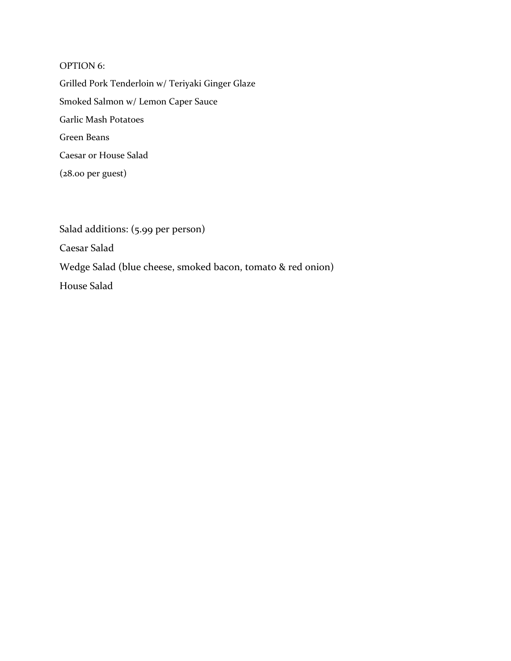## OPTION 6:

Grilled Pork Tenderloin w/ Teriyaki Ginger Glaze Smoked Salmon w/ Lemon Caper Sauce Garlic Mash Potatoes Green Beans Caesar or House Salad (28.00 per guest)

Salad additions: (5.99 per person) Caesar Salad Wedge Salad (blue cheese, smoked bacon, tomato & red onion) House Salad